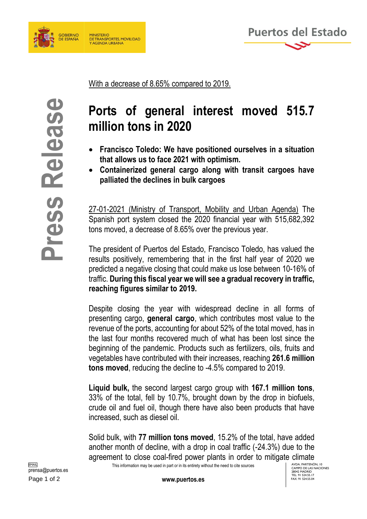



With a decrease of 8.65% compared to 2019.

## **Ports of general interest moved 515.7 million tons in 2020**

- **Francisco Toledo: We have positioned ourselves in a situation that allows us to face 2021 with optimism.**
- **Containerized general cargo along with transit cargoes have palliated the declines in bulk cargoes**

27-01-2021 (Ministry of Transport, Mobility and Urban Agenda) The Spanish port system closed the 2020 financial year with 515,682,392 tons moved, a decrease of 8.65% over the previous year.

The president of Puertos del Estado, Francisco Toledo, has valued the results positively, remembering that in the first half year of 2020 we predicted a negative closing that could make us lose between 10-16% of traffic. **During this fiscal year we will see a gradual recovery in traffic, reaching figures similar to 2019.** 

**Ports of general interest moved 515.7**<br> **Committed 10** of 2020<br> **Committed above the section of the set also set also the above a set also the above a set also set also set also set also above the president and go along w** Despite closing the year with widespread decline in all forms of presenting cargo, **general cargo**, which contributes most value to the revenue of the ports, accounting for about 52% of the total moved, has in the last four months recovered much of what has been lost since the beginning of the pandemic. Products such as fertilizers, oils, fruits and vegetables have contributed with their increases, reaching **261.6 million tons moved**, reducing the decline to -4.5% compared to 2019.

**Liquid bulk,** the second largest cargo group with **167.1 million tons**, 33% of the total, fell by 10.7%, brought down by the drop in biofuels, crude oil and fuel oil, though there have also been products that have increased, such as diesel oil.

Solid bulk, with **77 million tons moved**, 15.2% of the total, have added another month of decline, with a drop in coal traffic (-24.3%) due to the agreement to close coal-fired power plants in order to mitigate climate